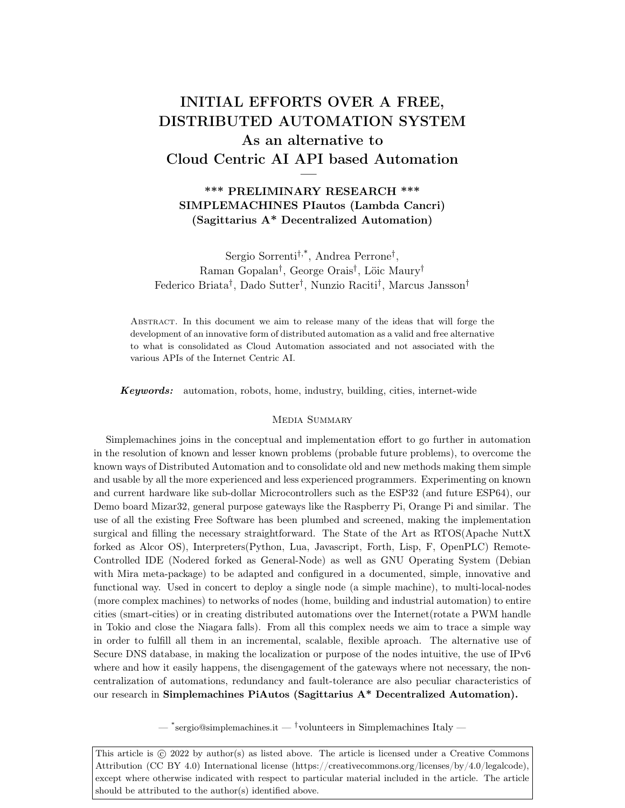# INITIAL EFFORTS OVER A FREE, DISTRIBUTED AUTOMATION SYSTEM As an alternative to Cloud Centric AI API based Automation —

\*\*\* PRELIMINARY RESEARCH \*\*\* SIMPLEMACHINES PIautos (Lambda Cancri) (Sagittarius A\* Decentralized Automation)

Sergio Sorrenti†,\*, Andrea Perrone† , Raman Gopalan† , George Orais† , Löic Maury† Federico Briata† , Dado Sutter† , Nunzio Raciti† , Marcus Jansson†

Abstract. In this document we aim to release many of the ideas that will forge the development of an innovative form of distributed automation as a valid and free alternative to what is consolidated as Cloud Automation associated and not associated with the various APIs of the Internet Centric AI.

Keywords: automation, robots, home, industry, building, cities, internet-wide

#### MEDIA SUMMARY

Simplemachines joins in the conceptual and implementation effort to go further in automation in the resolution of known and lesser known problems (probable future problems), to overcome the known ways of Distributed Automation and to consolidate old and new methods making them simple and usable by all the more experienced and less experienced programmers. Experimenting on known and current hardware like sub-dollar Microcontrollers such as the ESP32 (and future ESP64), our Demo board Mizar32, general purpose gateways like the Raspberry Pi, Orange Pi and similar. The use of all the existing Free Software has been plumbed and screened, making the implementation surgical and filling the necessary straightforward. The State of the Art as RTOS(Apache NuttX forked as Alcor OS), Interpreters(Python, Lua, Javascript, Forth, Lisp, F, OpenPLC) Remote-Controlled IDE (Nodered forked as General-Node) as well as GNU Operating System (Debian with Mira meta-package) to be adapted and configured in a documented, simple, innovative and functional way. Used in concert to deploy a single node (a simple machine), to multi-local-nodes (more complex machines) to networks of nodes (home, building and industrial automation) to entire cities (smart-cities) or in creating distributed automations over the Internet(rotate a PWM handle in Tokio and close the Niagara falls). From all this complex needs we aim to trace a simple way in order to fulfill all them in an incremental, scalable, flexible aproach. The alternative use of Secure DNS database, in making the localization or purpose of the nodes intuitive, the use of IPv6 where and how it easily happens, the disengagement of the gateways where not necessary, the noncentralization of automations, redundancy and fault-tolerance are also peculiar characteristics of our research in Simplemachines PiAutos (Sagittarius A\* Decentralized Automation).

 $-$  \*sergio@simplemachines.it  $-$  <sup>†</sup>volunteers in Simplemachines Italy  $-$ 

This article is  $\odot$  2022 by author(s) as listed above. The article is licensed under a Creative Commons Attribution (CC BY 4.0) International license (https://creativecommons.org/licenses/by/4.0/legalcode), except where otherwise indicated with respect to particular material included in the article. The article should be attributed to the author(s) identified above.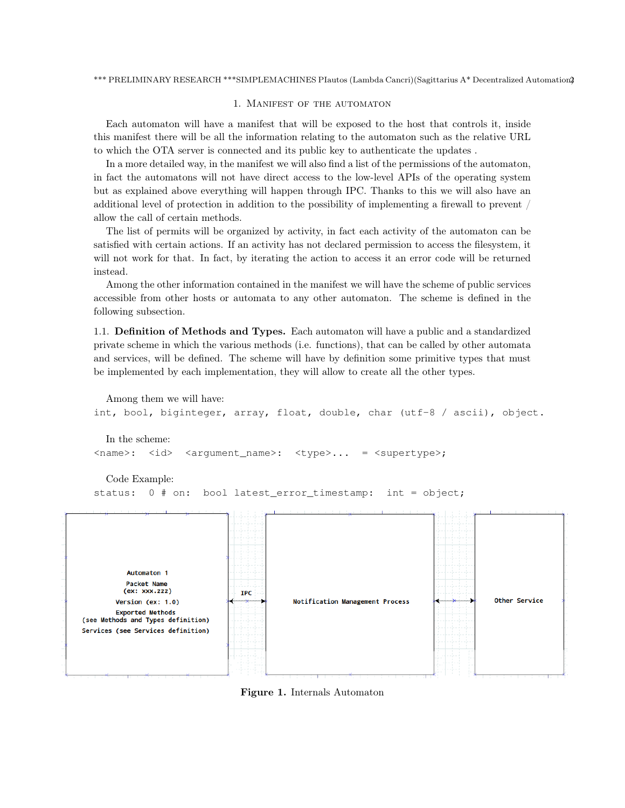### 1. Manifest of the automaton

Each automaton will have a manifest that will be exposed to the host that controls it, inside this manifest there will be all the information relating to the automaton such as the relative URL to which the OTA server is connected and its public key to authenticate the updates .

In a more detailed way, in the manifest we will also find a list of the permissions of the automaton, in fact the automatons will not have direct access to the low-level APIs of the operating system but as explained above everything will happen through IPC. Thanks to this we will also have an additional level of protection in addition to the possibility of implementing a firewall to prevent / allow the call of certain methods.

The list of permits will be organized by activity, in fact each activity of the automaton can be satisfied with certain actions. If an activity has not declared permission to access the filesystem, it will not work for that. In fact, by iterating the action to access it an error code will be returned instead.

Among the other information contained in the manifest we will have the scheme of public services accessible from other hosts or automata to any other automaton. The scheme is defined in the following subsection.

1.1. Definition of Methods and Types. Each automaton will have a public and a standardized private scheme in which the various methods (i.e. functions), that can be called by other automata and services, will be defined. The scheme will have by definition some primitive types that must be implemented by each implementation, they will allow to create all the other types.

```
Among them we will have:
int, bool, biginteger, array, float, double, char (utf-8 / ascii), object.
```
In the scheme: <name>: <id> <argument\_name>: <type>... = <supertype>;

Code Example:

status: 0 # on: bool latest\_error\_timestamp: int = object;



Figure 1. Internals Automaton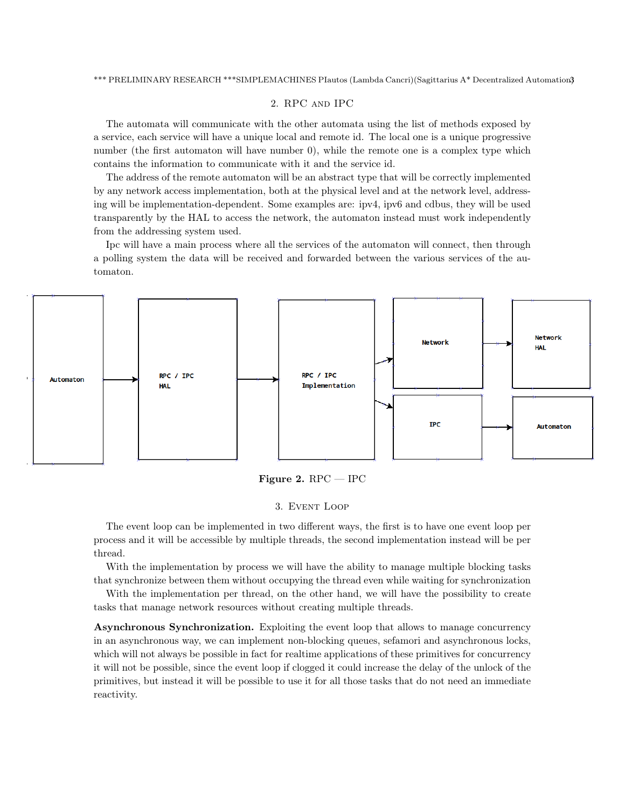# 2. RPC and IPC

The automata will communicate with the other automata using the list of methods exposed by a service, each service will have a unique local and remote id. The local one is a unique progressive number (the first automaton will have number 0), while the remote one is a complex type which contains the information to communicate with it and the service id.

The address of the remote automaton will be an abstract type that will be correctly implemented by any network access implementation, both at the physical level and at the network level, addressing will be implementation-dependent. Some examples are: ipv4, ipv6 and cdbus, they will be used transparently by the HAL to access the network, the automaton instead must work independently from the addressing system used.

Ipc will have a main process where all the services of the automaton will connect, then through a polling system the data will be received and forwarded between the various services of the automaton.



Figure 2.  $RPC - IPC$ 

#### 3. Event Loop

The event loop can be implemented in two different ways, the first is to have one event loop per process and it will be accessible by multiple threads, the second implementation instead will be per thread.

With the implementation by process we will have the ability to manage multiple blocking tasks that synchronize between them without occupying the thread even while waiting for synchronization

With the implementation per thread, on the other hand, we will have the possibility to create tasks that manage network resources without creating multiple threads.

Asynchronous Synchronization. Exploiting the event loop that allows to manage concurrency in an asynchronous way, we can implement non-blocking queues, sefamori and asynchronous locks, which will not always be possible in fact for realtime applications of these primitives for concurrency it will not be possible, since the event loop if clogged it could increase the delay of the unlock of the primitives, but instead it will be possible to use it for all those tasks that do not need an immediate reactivity.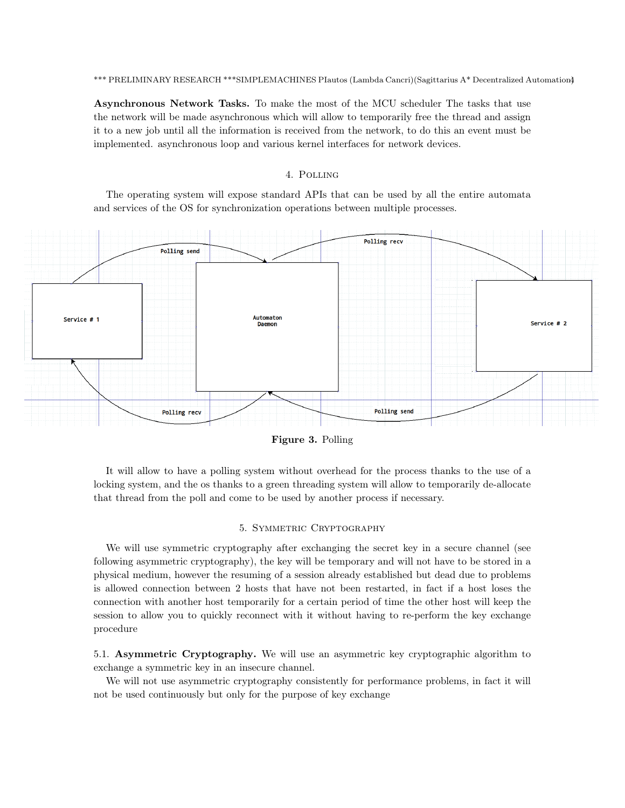Asynchronous Network Tasks. To make the most of the MCU scheduler The tasks that use the network will be made asynchronous which will allow to temporarily free the thread and assign it to a new job until all the information is received from the network, to do this an event must be implemented. asynchronous loop and various kernel interfaces for network devices.

# 4. Polling

The operating system will expose standard APIs that can be used by all the entire automata and services of the OS for synchronization operations between multiple processes.

![](_page_3_Figure_4.jpeg)

Figure 3. Polling

It will allow to have a polling system without overhead for the process thanks to the use of a locking system, and the os thanks to a green threading system will allow to temporarily de-allocate that thread from the poll and come to be used by another process if necessary.

# 5. Symmetric Cryptography

We will use symmetric cryptography after exchanging the secret key in a secure channel (see following asymmetric cryptography), the key will be temporary and will not have to be stored in a physical medium, however the resuming of a session already established but dead due to problems is allowed connection between 2 hosts that have not been restarted, in fact if a host loses the connection with another host temporarily for a certain period of time the other host will keep the session to allow you to quickly reconnect with it without having to re-perform the key exchange procedure

5.1. Asymmetric Cryptography. We will use an asymmetric key cryptographic algorithm to exchange a symmetric key in an insecure channel.

We will not use asymmetric cryptography consistently for performance problems, in fact it will not be used continuously but only for the purpose of key exchange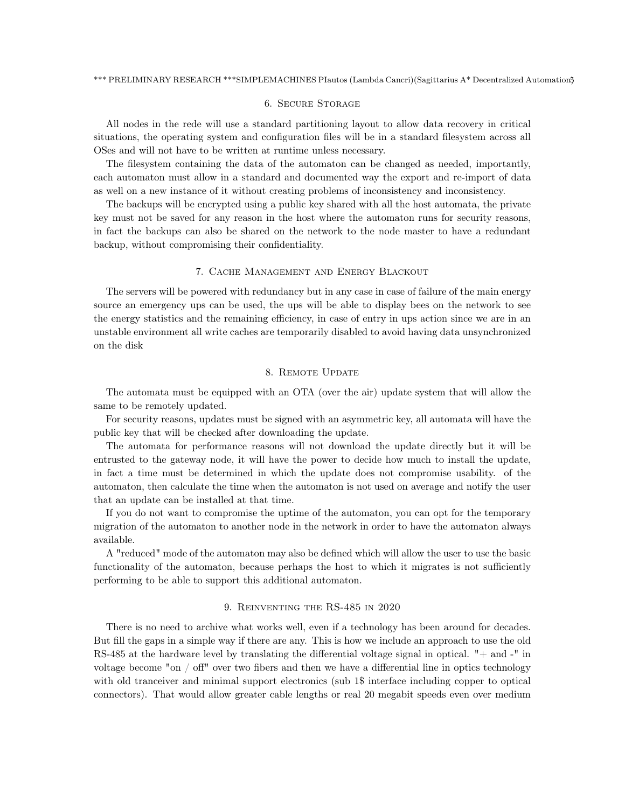### 6. Secure Storage

All nodes in the rede will use a standard partitioning layout to allow data recovery in critical situations, the operating system and configuration files will be in a standard filesystem across all OSes and will not have to be written at runtime unless necessary.

The filesystem containing the data of the automaton can be changed as needed, importantly, each automaton must allow in a standard and documented way the export and re-import of data as well on a new instance of it without creating problems of inconsistency and inconsistency.

The backups will be encrypted using a public key shared with all the host automata, the private key must not be saved for any reason in the host where the automaton runs for security reasons, in fact the backups can also be shared on the network to the node master to have a redundant backup, without compromising their confidentiality.

#### 7. Cache Management and Energy Blackout

The servers will be powered with redundancy but in any case in case of failure of the main energy source an emergency ups can be used, the ups will be able to display bees on the network to see the energy statistics and the remaining efficiency, in case of entry in ups action since we are in an unstable environment all write caches are temporarily disabled to avoid having data unsynchronized on the disk

# 8. Remote Update

The automata must be equipped with an OTA (over the air) update system that will allow the same to be remotely updated.

For security reasons, updates must be signed with an asymmetric key, all automata will have the public key that will be checked after downloading the update.

The automata for performance reasons will not download the update directly but it will be entrusted to the gateway node, it will have the power to decide how much to install the update, in fact a time must be determined in which the update does not compromise usability. of the automaton, then calculate the time when the automaton is not used on average and notify the user that an update can be installed at that time.

If you do not want to compromise the uptime of the automaton, you can opt for the temporary migration of the automaton to another node in the network in order to have the automaton always available.

A "reduced" mode of the automaton may also be defined which will allow the user to use the basic functionality of the automaton, because perhaps the host to which it migrates is not sufficiently performing to be able to support this additional automaton.

# 9. Reinventing the RS-485 in 2020

There is no need to archive what works well, even if a technology has been around for decades. But fill the gaps in a simple way if there are any. This is how we include an approach to use the old RS-485 at the hardware level by translating the differential voltage signal in optical.  $"+$  and  $-"$  in voltage become "on / off" over two fibers and then we have a differential line in optics technology with old tranceiver and minimal support electronics (sub 1\$ interface including copper to optical connectors). That would allow greater cable lengths or real 20 megabit speeds even over medium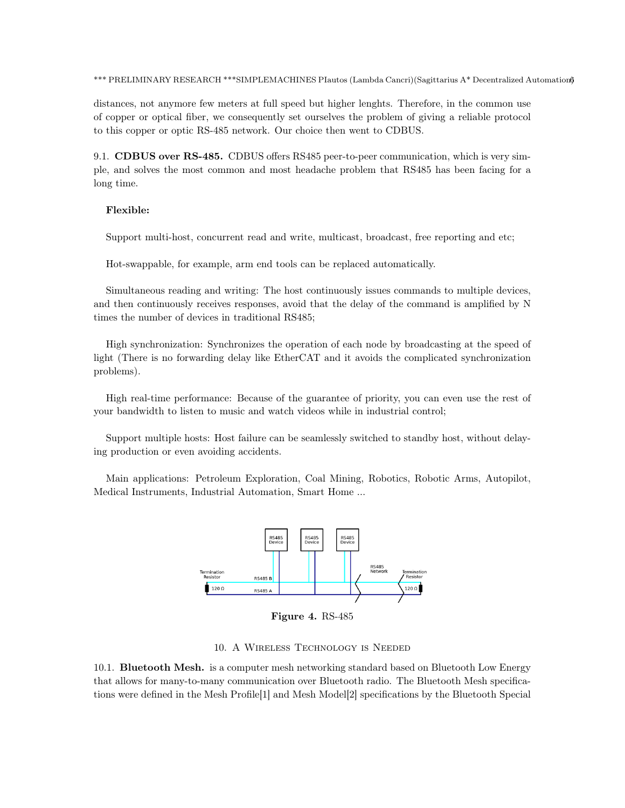distances, not anymore few meters at full speed but higher lenghts. Therefore, in the common use of copper or optical fiber, we consequently set ourselves the problem of giving a reliable protocol to this copper or optic RS-485 network. Our choice then went to CDBUS.

9.1. CDBUS over RS-485. CDBUS offers RS485 peer-to-peer communication, which is very simple, and solves the most common and most headache problem that RS485 has been facing for a long time.

## Flexible:

Support multi-host, concurrent read and write, multicast, broadcast, free reporting and etc;

Hot-swappable, for example, arm end tools can be replaced automatically.

Simultaneous reading and writing: The host continuously issues commands to multiple devices, and then continuously receives responses, avoid that the delay of the command is amplified by N times the number of devices in traditional RS485;

High synchronization: Synchronizes the operation of each node by broadcasting at the speed of light (There is no forwarding delay like EtherCAT and it avoids the complicated synchronization problems).

High real-time performance: Because of the guarantee of priority, you can even use the rest of your bandwidth to listen to music and watch videos while in industrial control;

Support multiple hosts: Host failure can be seamlessly switched to standby host, without delaying production or even avoiding accidents.

Main applications: Petroleum Exploration, Coal Mining, Robotics, Robotic Arms, Autopilot, Medical Instruments, Industrial Automation, Smart Home ...

![](_page_5_Figure_11.jpeg)

Figure 4. RS-485

#### 10. A Wireless Technology is Needed

10.1. Bluetooth Mesh. is a computer mesh networking standard based on Bluetooth Low Energy that allows for many-to-many communication over Bluetooth radio. The Bluetooth Mesh specifications were defined in the Mesh Profile[1] and Mesh Model[2] specifications by the Bluetooth Special